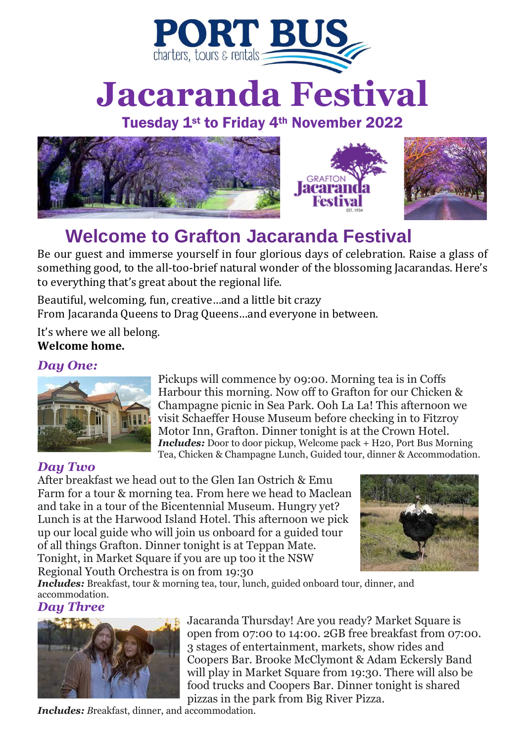

# **Jacaranda Festival**

### Tuesday 1st to Friday 4th November 2022





## **Welcome to Grafton Jacaranda Festival**

Be our guest and immerse yourself in four glorious days of celebration. Raise a glass of something good, to the all-too-brief natural wonder of the blossoming Jacarandas. Here's to everything that's great about the regional life.

Beautiful, welcoming, fun, creative…and a little bit crazy From Jacaranda Queens to Drag Queens…and everyone in between.

It's where we all belong. **Welcome home.**

#### *Day One:*



Pickups will commence by 09:00. Morning tea is in Coffs Harbour this morning. Now off to Grafton for our Chicken & Champagne picnic in Sea Park. Ooh La La! This afternoon we visit Schaeffer House Museum before checking in to Fitzroy Motor Inn, Grafton. Dinner tonight is at the Crown Hotel. *Includes:* Door to door pickup, Welcome pack + H20, Port Bus Morning Tea, Chicken & Champagne Lunch, Guided tour, dinner & Accommodation.

#### *Day Two*

After breakfast we head out to the Glen Ian Ostrich & Emu Farm for a tour & morning tea. From here we head to Maclean and take in a tour of the Bicentennial Museum. Hungry yet? Lunch is at the Harwood Island Hotel. This afternoon we pick up our local guide who will join us onboard for a guided tour of all things Grafton. Dinner tonight is at Teppan Mate. Tonight, in Market Square if you are up too it the NSW Regional Youth Orchestra is on from 19:30



*Includes: Breakfast, tour & morning tea, tour, lunch, guided onboard tour, dinner, and* accommodation.

#### *Day Three*



Jacaranda Thursday! Are you ready? Market Square is open from 07:00 to 14:00. 2GB free breakfast from 07:00. 3 stages of entertainment, markets, show rides and Coopers Bar. Brooke McClymont & Adam Eckersly Band will play in Market Square from 19:30. There will also be food trucks and Coopers Bar. Dinner tonight is shared pizzas in the park from Big River Pizza.

*Includes: B*reakfast, dinner, and accommodation.